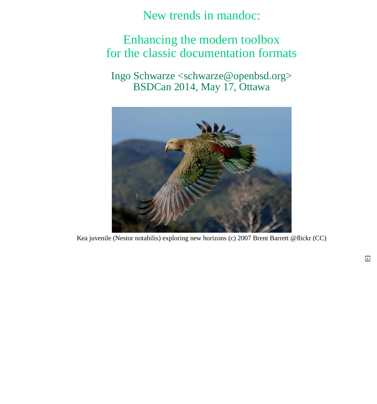New trends in mandoc:

### <span id="page-0-0"></span>Enhancing the modern toolbox for the classic documentation formats

Ingo Schwarze <schwarze@openbsd.org> BSDCan 2014, May 17, Ottawa



Kea juvenile (Nestor notabilis) exploring new horizons (c) 2007 Brent Barrett @flickr (CC)

**>**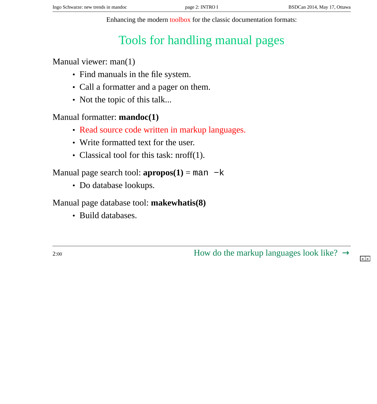Enhancing the modern toolbox for the classic documentation formats:

# Tools for handling manual pages

<span id="page-1-0"></span>Manual viewer: man(1)

- Find manuals in the file system.
- Call a formatter and a pager on them.
- Not the topic of this talk...

Manual formatter: **mandoc(1)**

- Read source code written in markup languages.
- Write formatted text for the user.
- Classical tool for this task: nroff(1).

Manual page search tool:  $\text{appropos}(1) = \text{man } -k$ 

• Do database lookups.

Manual page database tool: **makewhatis(8)**

• Build databases.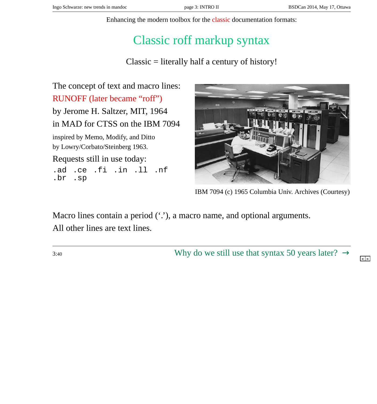Enhancing the modern toolbox for the classic documentation formats:

## Classic roff markup syntax

Classic = literally half a century of history!

<span id="page-2-0"></span>The concept of text and macro lines: RUNOFF (later became "roff") by Jerome H. Saltzer, MIT, 1964 in MAD for CTSS on the IBM 7094 inspired by Memo, Modify, and Ditto by Lowry/Corbato/Steinberg 1963. Requests still in use today: .ad .ce .fi .in .ll .nf<br>.br .sp .br .sp



IBM 7094 (c) 1965 Columbia Univ. Archives (Courtesy)

Macro lines contain a period ('.'), a macro name, and optional arguments. All other lines are text lines.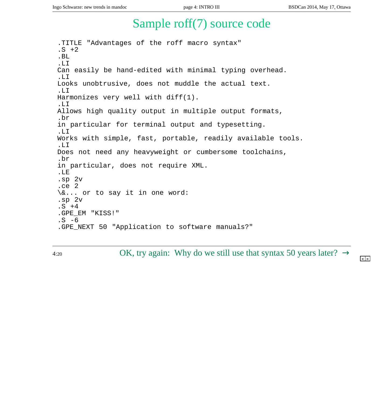**< >**

### Sample roff(7) source code

<span id="page-3-0"></span>.TITLE "Advantages of the roff macro syntax"  $. S + 2$ .BL .LI Can easily be hand-edited with minimal typing overhead. .LI Looks unobtrusive, does not muddle the actual text. .LI Harmonizes very well with diff(1). .LI Allows high quality output in multiple output formats, .br in particular for terminal output and typesetting. .LI Works with simple, fast, portable, readily available tools. .LI Does not need any heavyweight or cumbersome toolchains, .br in particular, does not require XML. .LE .sp 2v .ce 2 \&... or to say it in one word: .sp 2v  $.S + 4$ .GPE\_EM "KISS!"  $.S -6$ .GPE\_NEXT 50 "Application to software manuals?"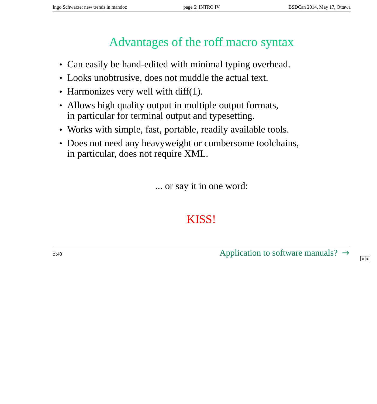## Advantages of the roff macro syntax

- <span id="page-4-0"></span>• Can easily be hand-edited with minimal typing overhead.
- Looks unobtrusive, does not muddle the actual text.
- Harmonizes very well with diff(1).
- Allows high quality output in multiple output formats, in particular for terminal output and typesetting.
- Works with simple, fast, portable, readily available tools.
- Does not need any heavyweight or cumbersome toolchains, in particular, does not require XML.

... or say it in one word:

## KISS!

5:40  $\Delta$ pplication to software manuals[?](#page-3-0)  $\rightarrow$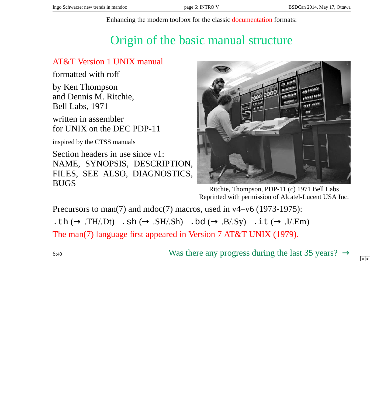Enhancing the modern toolbox for the classic documentation formats:

# Origin of the basic manual structure

#### <span id="page-5-0"></span>AT&T Version 1 UNIX manual

formatted with roff

by Ken Thompson and Dennis M. Ritchie, Bell Labs, 1971

written in assembler for UNIX on the DEC PDP-11

inspired by the CTSS manuals

Section headers in use since v1: NAME, SYNOPSIS, DESCRIPTION, FILES, SEE ALSO, DIAGNOSTICS, BUGS



Ritchie, Thompson, PDP-11 (c) 1971 Bell Labs Reprinted with permission of Alcatel-Lucent USA Inc.

Precursors to man(7) and mdoc(7) macros, used in v4–v6 (1973-1975): .th  $(\rightarrow .TH'.Dt)$  .sh  $(\rightarrow .SH'.Sh)$  .bd  $(\rightarrow .B.Sy)$  .it  $(\rightarrow .I'.Em)$ 

The man(7) language first appeared in Version 7 AT&T UNIX (1979).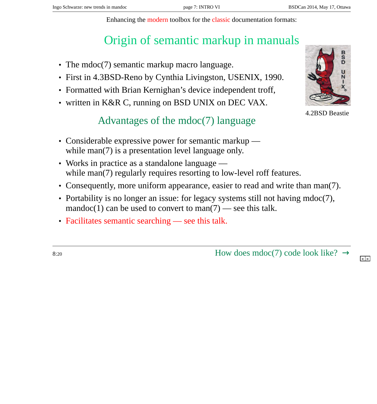Enhancing the modern toolbox for the classic documentation formats:

# Origin of semantic markup in manuals

- <span id="page-6-0"></span>• The mdoc(7) semantic markup macro language.
- First in 4.3BSD-Reno by Cynthia Livingston, USENIX, 1990.
- Formatted with Brian Kernighan's device independent troff,
- written in K&R C, running on BSD UNIX on DEC VAX.

#### Advantages of the mdoc(7) language

- Considerable expressive power for semantic markup while man(7) is a presentation level language only.
- Works in practice as a standalone language while man(7) regularly requires resorting to low-level roff features.
- Consequently, more uniform appearance, easier to read and write than man(7).
- Portability is no longer an issue: for legacy systems still not having mdoc(7), mandoc(1) can be used to convert to man(7) — see this talk.
- Facilitates semantic searching see this talk.

8:20 How does mdoc(7) code look like[?](#page-5-0)  $\rightarrow$ 





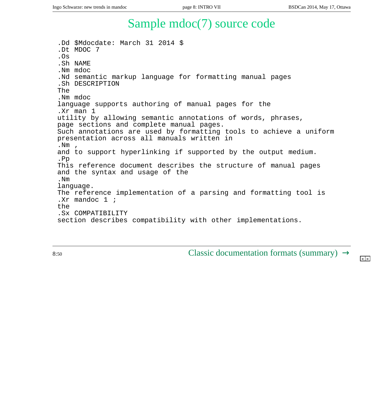### Sample mdoc(7) source code

<span id="page-7-0"></span>.Dd \$Mdocdate: March 31 2014 \$ .Dt MDOC 7 .Os .Sh NAME .Nm mdoc .Nd semantic markup language for formatting manual pages .Sh DESCRIPTION The .Nm mdoc language supports authoring of manual pages for the .Xr man 1 utility by allowing semantic annotations of words, phrases, page sections and complete manual pages. Such annotations are used by formatting tools to achieve a uniform presentation across all manuals written in  $.$  Nm  $.$ and to support hyperlinking if supported by the output medium. .Pp This reference document describes the structure of manual pages and the syntax and usage of the .Nm language. The reference implementation of a parsing and formatting tool is .Xr mandoc 1 ; the .Sx COMPATIBILITY section describes compatibility with other implementations.

8:50 Classic documentation formats (summar[y\)](#page-6-0)  $\rightarrow$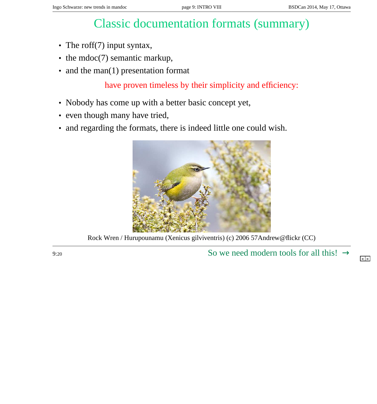## Classic documentation formats (summary)

- <span id="page-8-0"></span>• The roff(7) input syntax,
- the mdoc(7) semantic markup,
- and the man(1) presentation format

have proven timeless by their simplicity and efficiency:

- Nobody has come up with a better basic concept yet,
- even though many have tried,
- and regarding the formats, there is indeed little one could wish.



Rock Wren / Hurupounamu (Xenicus gilviventris) (c) 2006 57Andrew@flickr (CC)

9:20 So we need modern tools for all thi[s!](#page-7-0)  $\rightarrow$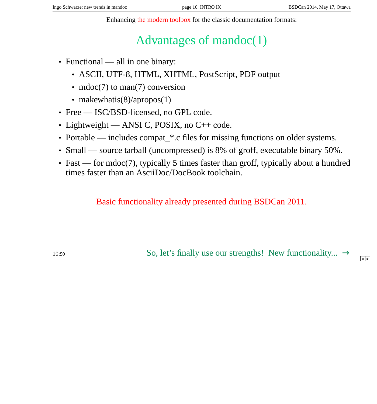**< >**

Enhancing the modern toolbox for the classic documentation formats:

# Advantages of mandoc(1)

- <span id="page-9-0"></span>• Functional — all in one binary:
	- ASCII, UTF-8, HTML, XHTML, PostScript, PDF output
	- mdoc(7) to man(7) conversion
	- makewhatis(8)/apropos(1)
- Free ISC/BSD-licensed, no GPL code.
- Lightweight ANSI C, POSIX, no C++ code.
- Portable includes compat\_\*.c files for missing functions on older systems.
- Small source tarball (uncompressed) is 8% of groff, executable binary 50%.
- Fast for mdoc(7), typically 5 times faster than groff, typically about a hundred times faster than an AsciiDoc/DocBook toolchain.

Basic functionality already presented during BSDCan 2011.

10:50 So, let's finally use our strengths! New functionality[..](#page-8-0).  $\rightarrow$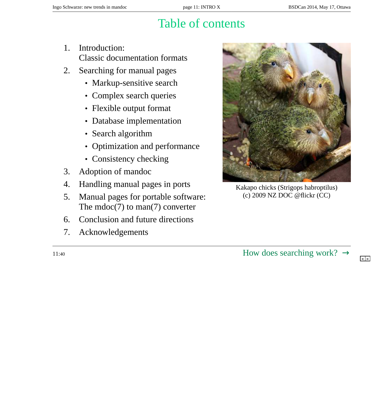## Table of contents

- <span id="page-10-0"></span>1. Introduction: Classic documentation formats
- 2. Searching for manual pages
	- Markup-sensitive search
	- Complex search queries
	- Flexible output format
	- Database implementation
	- Search algorithm
	- Optimization and performance
	- Consistency checking
- 3. Adoption of mandoc
- 4. Handling manual pages in ports
- 5. Manual pages for portable software: The  $mdoc(7)$  to man(7) converter
- 6. Conclusion and future directions
- 7. Acknowledgements



Kakapo chicks (Strigops habroptilus) (c) 2009 NZ DOC @flickr (CC)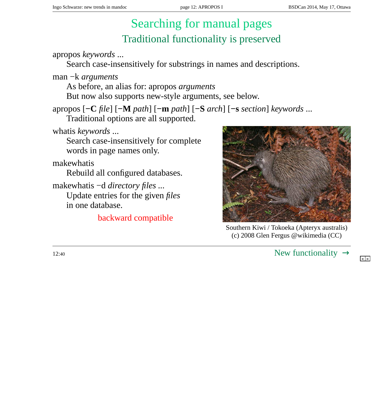## Searching for manual pages Traditional functionality is preserved

<span id="page-11-0"></span>apropos *keywords* ...

Search case-insensitively for substrings in names and descriptions.

man −k *arguments*

As before, an alias for: apropos *arguments*

But now also supports new-style arguments, see below.

apropos [**−C** *file*] [**−M** *path*] [**−m** *path*] [**−S** *arch*] [**−s** *section*] *keywords* ...

Traditional options are all supported.

whatis *keywords* ...

Search case-insensitively for complete words in page names only.

makewhatis

Rebuild all configured databases.

makewhatis −d *directory files ...* Update entries for the given *files* in one database.

backward compatible



Southern Kiwi / Tokoeka (Apteryx australis) (c) 2008 Glen Fergus @wikimedia (CC)

 $12:40$  New functionalit[y](#page-10-0)  $\rightarrow$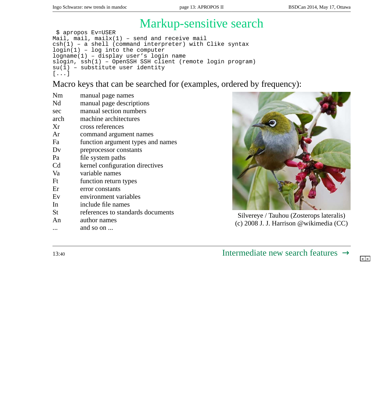# Markup-sensitive search

```
$ apropos Ev=USER
Mail, mail, mailx(1) - send and receive mail
csh(1) – a shell (command interpreter) with Clike syntax
login(1) – log into the computer
logname(1) – display user's login name
slogin, ssh(1) – OpenSSH SSH client (remote login program)
su(1) - substitute user identity
[...]
```
Macro keys that can be searched for (examples, ordered by frequency):

| <b>Nm</b>      | manual page names                 |
|----------------|-----------------------------------|
| Nd             | manual page descriptions          |
| sec            | manual section numbers            |
| arch           | machine architectures             |
| Xr             | cross references                  |
| Ar             | command argument names            |
| Fa             | function argument types and names |
| Dv             | preprocessor constants            |
| Pa             | file system paths                 |
| C <sub>d</sub> | kernel configuration directives   |
| Va             | variable names                    |
| Ft             | function return types             |
| Er             | error constants                   |
| Ev             | environment variables             |
| In             | include file names                |
| St             | references to standards documents |
| An             | author names                      |



Silvereye / Tauhou (Zosterops lateralis) (c) 2008 J. J. Harrison @wikimedia (CC)

... and so on ...

13:<sup>40</sup> Intermediate new search featur[es](#page-11-0) [→](#page-13-0)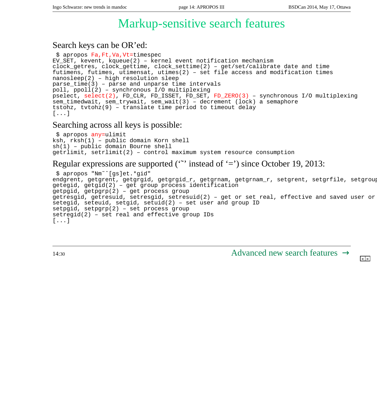### Markup-sensitive search features

#### <span id="page-13-0"></span>Search keys can be OR'ed:

```
$ apropos Fa,Ft,Va,Vt=timespec
EV_SET, kevent, kqueue(2) – kernel event notification mechanism
clock_getres, clock_gettime, clock_settime(2) – get/set/calibrate date and time
futimens, futimes, utimensat, utimes(2) – set file access and modification times
nanosleep(2) – high resolution sleep
parse_time(3) – parse and unparse time intervals
poll, ppoll(2) – synchronous I/O multiplexing
pselect, select(2), FD_CLR, FD_ISSET, FD_SET, FD_ZERO(3) – synchronous I/O multiplexing
sem_timedwait, sem_trywait, sem_wait(3) – decrement (lock) a semaphore
tstohz, tvtohz(9) – translate time period to timeout delay
[...]
```
#### Searching across all keys is possible:

```
$ apropos any=ulimit
ksh, rksh(1) – public domain Korn shell
sh(1) – public domain Bourne shell
getrlimit, setrlimit(2) – control maximum system resource consumption
```
#### Regular expressions are supported ( $\sim$ ) instead of  $\approx$ ) since October 19, 2013:

```
$ apropos "Nm˜ˆ[gs]et.*gid"
endgrent, getgrent, getgrgid, getgrgid_r, getgrnam, getgrnam_r, setgrent, setgrfile, setgroup
getegid, getgid(2) – get group process identification
getpgid, getpgrp(2) – get process group
getresgid, getresuid, setresgid, setresuid(2) - get or set real, effective and saved user or
setegid, seteuid, setgid, setuid(2) – set user and group ID
setpgid, setpgrp(2) – set process group
setregid(2) – set real and effective group IDs
[...]
```
14:<sup>30</sup> Advanced new search featur[es](#page-12-0) [→](#page-14-0)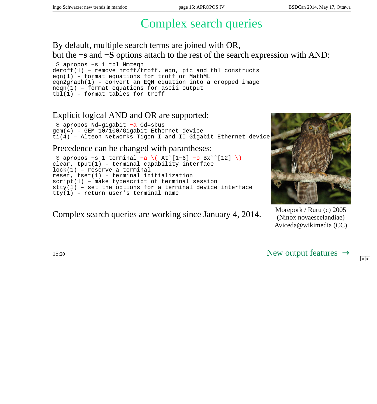## Complex search queries

<span id="page-14-0"></span>By default, multiple search terms are joined with OR, but the **−s** and **−S** options attach to the rest of the search expression with AND:

```
$ apropos −s 1 tbl Nm=eqn
deroff(1) – remove nroff/troff, eqn, pic and tbl constructs
eqn(1) – format equations for troff or MathML
eqn2graph(1) – convert an EQN equation into a cropped image
neqn(1) – format equations for ascii output
tbl(1) - format tables for troff
```
#### Explicit logical AND and OR are supported:

```
$ apropos Nd=gigabit −a Cd=sbus
gem(4) – GEM 10/100/Gigabit Ethernet device
ti(4) – Alteon Networks Tigon I and II Gigabit Ethernet device
```
#### Precedence can be changed with parantheses:

```
$ apropos −s 1 terminal −a \( At˜[1−6] −o Bx˜ˆ[12] \)
clear, tput(1) – terminal capability interface
lock(1) – reserve a terminal
reset, tset(1) – terminal initialization
script(1) – make typescript of terminal session
stty(1) – set the options for a terminal device interface
tty(1) – return user's terminal name
```
### Complex search queries are working since January 4, 2014. Morepork / Ruru (c) 2005



(Ninox novaeseelandiae) Aviceda@wikimedia (CC)

 $15:20$  New output featur[es](#page-13-0)  $\rightarrow$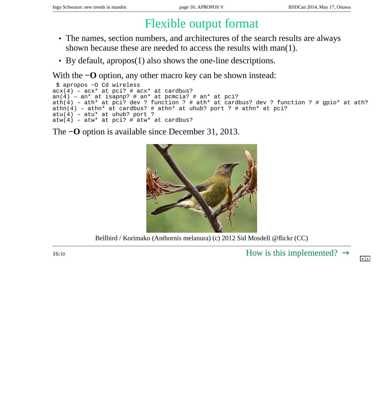# Flexible output format

- <span id="page-15-0"></span>• The names, section numbers, and architectures of the search results are always shown because these are needed to access the results with man(1).
- By default, apropos(1) also shows the one-line descriptions.

With the **−O** option, any other macro key can be shown instead:

```
$ apropos −O Cd wireless
acx(4) – acx* at pci? # acx* at cardbus?
an(4) – an* at isapnp? \# an* at pcmcia? \# an* at pci?
ath(4) – ath* at pci? dev ? function ? # ath* at cardbus? dev ? function ? # gpio* at ath?
athn(4) - athn* at cardbus? # athn* at uhub? port ? # athn* at pci?
atu(4) -atu* at uhub? port ?
atw(4) - atw* at pci? # atw* at cardbus?
```
The **−O** option is available since December 31, 2013.



Bellbird / Korimako (Anthornis melanura) (c) 2012 Sid Mosdell @flickr (CC)

 $16:10$  How is this implemented[?](#page-14-0)  $\rightarrow$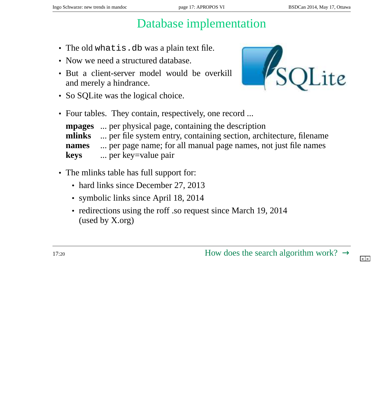## Database implementation

- <span id="page-16-0"></span>• The old what is.db was a plain text file.
- Now we need a structured database.
- But a client-server model would be overkill and merely a hindrance.
- So SQLite was the logical choice.



• Four tables. They contain, respectively, one record ...

**mpages** ... per physical page, containing the description **mlinks** ... per file system entry, containing section, architecture, filename **names** ... per page name; for all manual page names, not just file names **keys** ... per key=value pair

- The mlinks table has full support for:
	- hard links since December 27, 2013
	- symbolic links since April 18, 2014
	- redirections using the roff .so request since March 19, 2014 (used by X.org)

17:20 How does the search algorithm work[?](#page-15-0)  $\rightarrow$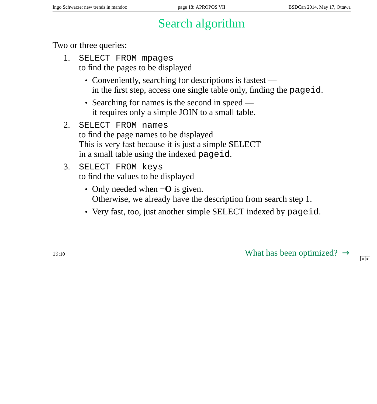# Search algorithm

<span id="page-17-0"></span>Two or three queries:

- 1. SELECT FROM mpages to find the pages to be displayed
	- Conveniently, searching for descriptions is fastest in the first step, access one single table only, finding the pageid.
	- Searching for names is the second in speed it requires only a simple JOIN to a small table.
- 2. SELECT FROM names to find the page names to be displayed This is very fast because it is just a simple SELECT in a small table using the indexed pageid.
- 3. SELECT FROM keys to find the values to be displayed
	- Only needed when **−O** is given. Otherwise, we already have the description from search step 1.
	- Very fast, too, just another simple SELECT indexed by pageid.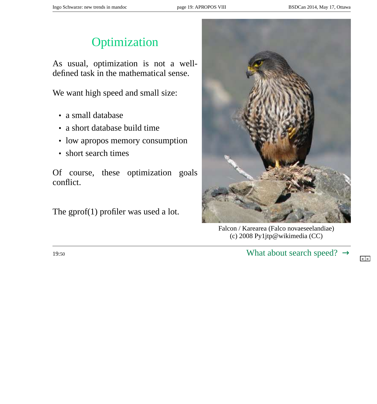## **Optimization**

<span id="page-18-0"></span>As usual, optimization is not a welldefined task in the mathematical sense.

We want high speed and small size:

- a small database
- a short database build time
- low apropos memory consumption
- short search times

Of course, these optimization goals conflict.

The gprof(1) profiler was used a lot.



Falcon / Karearea (Falco novaeseelandiae) (c) 2008 Py1jtp@wikimedia (CC)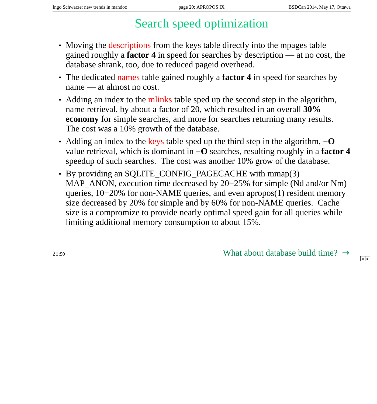# Search speed optimization

- <span id="page-19-0"></span>• Moving the descriptions from the keys table directly into the mpages table gained roughly a **factor 4** in speed for searches by description — at no cost, the database shrank, too, due to reduced pageid overhead.
- The dedicated names table gained roughly a **factor 4** in speed for searches by name — at almost no cost.
- Adding an index to the mlinks table sped up the second step in the algorithm, name retrieval, by about a factor of 20, which resulted in an overall **30% economy** for simple searches, and more for searches returning many results. The cost was a 10% growth of the database.
- Adding an index to the keys table sped up the third step in the algorithm, **−O** value retrieval, which is dominant in **−O** searches, resulting roughly in a **factor 4** speedup of such searches. The cost was another 10% grow of the database.
- By providing an SQLITE\_CONFIG\_PAGECACHE with mmap(3) MAP\_ANON, execution time decreased by 20–25% for simple (Nd and/or Nm) queries, 10−20% for non-NAME queries, and even apropos(1) resident memory size decreased by 20% for simple and by 60% for non-NAME queries. Cache size is a compromize to provide nearly optimal speed gain for all queries while limiting additional memory consumption to about 15%.

21:50 What about database build time[?](#page-18-0)  $\rightarrow$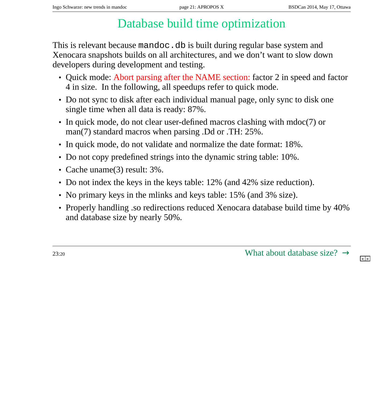# Database build time optimization

<span id="page-20-0"></span>This is relevant because mandoc.db is built during regular base system and Xenocara snapshots builds on all architectures, and we don't want to slow down developers during development and testing.

- Quick mode: Abort parsing after the NAME section: factor 2 in speed and factor 4 in size. In the following, all speedups refer to quick mode.
- Do not sync to disk after each individual manual page, only sync to disk one single time when all data is ready: 87%.
- In quick mode, do not clear user-defined macros clashing with mdoc(7) or man(7) standard macros when parsing .Dd or .TH: 25%.
- In quick mode, do not validate and normalize the date format: 18%.
- Do not copy predefined strings into the dynamic string table: 10%.
- Cache uname(3) result: 3%.
- Do not index the keys in the keys table: 12% (and 42% size reduction).
- No primary keys in the mlinks and keys table: 15% (and 3% size).
- Properly handling .so redirections reduced Xenocara database build time by 40% and database size by nearly 50%.

 $23:20$  What about database size[?](#page-19-0)  $\rightarrow$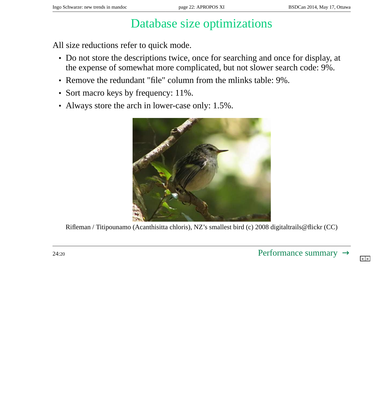## Database size optimizations

<span id="page-21-0"></span>All size reductions refer to quick mode.

- Do not store the descriptions twice, once for searching and once for display, at the expense of somewhat more complicated, but not slower search code: 9%.
- Remove the redundant "file" column from the mlinks table: 9%.
- Sort macro keys by frequency: 11%.
- Always store the arch in lower-case only: 1.5%.

![](_page_21_Picture_9.jpeg)

Rifleman / Titipounamo (Acanthisitta chloris), NZ's smallest bird (c) 2008 digitaltrails@flickr (CC)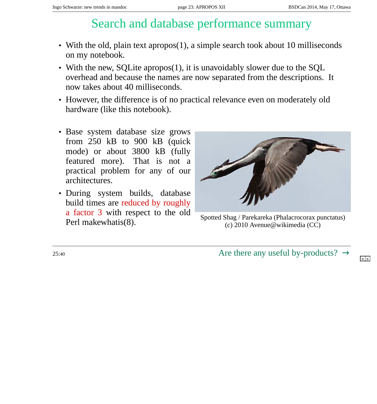### Search and database performance summary

- <span id="page-22-0"></span>• With the old, plain text apropos(1), a simple search took about 10 milliseconds on my notebook.
- With the new, SQLite apropos(1), it is unavoidably slower due to the SQL overhead and because the names are now separated from the descriptions. It now takes about 40 milliseconds.
- However, the difference is of no practical relevance even on moderately old hardware (like this notebook).
- Base system database size grows from 250 kB to 900 kB (quick mode) or about 3800 kB (fully featured more). That is not a practical problem for any of our architectures.
- During system builds, database build times are reduced by roughly a factor 3 with respect to the old

![](_page_22_Figure_9.jpeg)

 $\frac{a \text{ factor 3 with} }{2010 \text{ A}},$  Spotted Shag / Parekareka (Phalacrocorax punctatus) (c) 2010 Avenue@wikimedia (CC)

 $25:40$  Are there any useful by-products[?](#page-21-0)  $\rightarrow$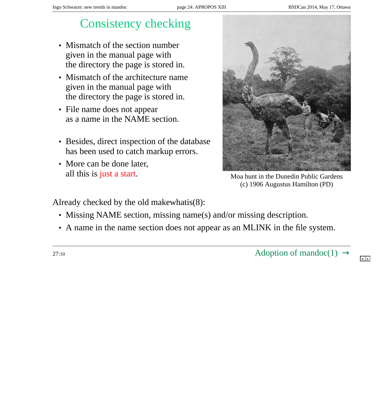## Consistency checking

- <span id="page-23-0"></span>• Mismatch of the section number given in the manual page with the directory the page is stored in.
- Mismatch of the architecture name given in the manual page with the directory the page is stored in.
- File name does not appear as a name in the NAME section.
- Besides, direct inspection of the database has been used to catch markup errors.
- More can be done later, all this is just a start.<br>Moa hunt in the Dunedin Public Gardens

![](_page_23_Picture_9.jpeg)

(c) 1906 Augustus Hamilton (PD)

Already checked by the old makewhatis(8):

- Missing NAME section, missing name(s) and/or missing description.
- A name in the name section does not appear as an MLINK in the file system.

27:10  $\text{Adoption of }\text{mando}(1) \rightarrow$  $\text{Adoption of }\text{mando}(1) \rightarrow$  $\text{Adoption of }\text{mando}(1) \rightarrow$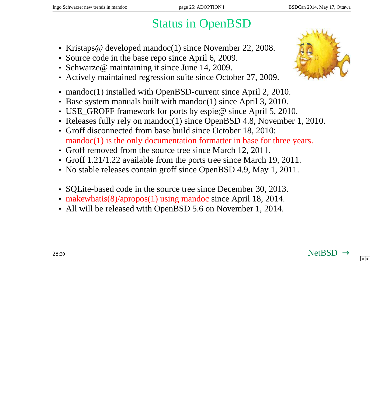# Status in OpenBSD

- <span id="page-24-0"></span>• Kristaps@ developed mandoc(1) since November 22, 2008.
- Source code in the base repo since April 6, 2009.
- Schwarze@ maintaining it since June 14, 2009.
- Actively maintained regression suite since October 27, 2009.
- mandoc(1) installed with OpenBSD-current since April 2, 2010.
- Base system manuals built with mandoc(1) since April 3, 2010.
- USE\_GROFF framework for ports by espie@ since April 5, 2010.
- Releases fully rely on mandoc(1) since OpenBSD 4.8, November 1, 2010.
- Groff disconnected from base build since October 18, 2010: mandoc(1) is the only documentation formatter in base for three years.
- Groff removed from the source tree since March 12, 2011.
- Groff 1.21/1.22 available from the ports tree since March 19, 2011.
- No stable releases contain groff since OpenBSD 4.9, May 1, 2011.
- SQLite-based code in the source tree since December 30, 2013.
- makewhatis(8)/apropos(1) using mandoc since April 18, 2014.
- All will be released with OpenBSD 5.6 on November 1, 2014.

![](_page_24_Picture_20.jpeg)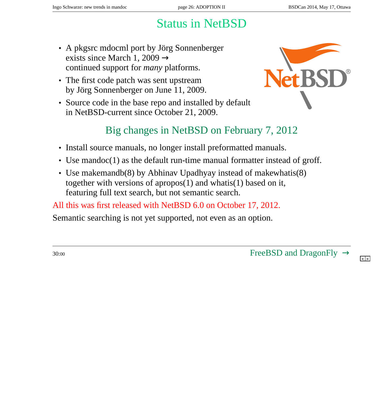# Status in NetBSD

- <span id="page-25-0"></span>• A pkgsrc mdocml port by Jörg Sonnenberger exists since March 1, 2009  $\rightarrow$ continued support for *many* platforms.
- The first code patch was sent upstream by Jörg Sonnenberger on June 11, 2009.
- Source code in the base repo and installed by default in NetBSD-current since October 21, 2009.

![](_page_25_Picture_7.jpeg)

### Big changes in NetBSD on February 7, 2012

- Install source manuals, no longer install preformatted manuals.
- Use mandoc(1) as the default run-time manual formatter instead of groff.
- Use makemandb(8) by Abhinav Upadhyay instead of makewhatis(8) together with versions of apropos(1) and whatis(1) based on it, featuring full text search, but not semantic search.

All this was first released with NetBSD 6.0 on October 17, 2012.

Semantic searching is not yet supported, not even as an option.

30:<sup>00</sup> FreeBSD and DragonFl[y](#page-24-0) [→](#page-26-0)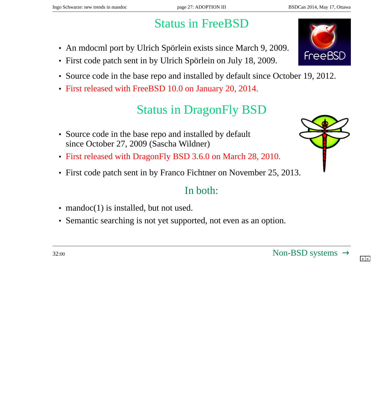# Status in FreeBSD

- <span id="page-26-0"></span>• An mdocml port by Ulrich Spörlein exists since March 9, 2009.
- First code patch sent in by Ulrich Spörlein on July 18, 2009.
- Source code in the base repo and installed by default since October 19, 2012.
- First released with FreeBSD 10.0 on January 20, 2014.

# Status in DragonFly BSD

- Source code in the base repo and installed by default since October 27, 2009 (Sascha Wildner)
- First released with DragonFly BSD 3.6.0 on March 28, 2010.
- First code patch sent in by Franco Fichtner on November 25, 2013.

#### In both:

- mandoc(1) is installed, but not used.
- Semantic searching is not yet supported, not even as an option.

![](_page_26_Picture_16.jpeg)

![](_page_26_Picture_17.jpeg)

![](_page_26_Picture_18.jpeg)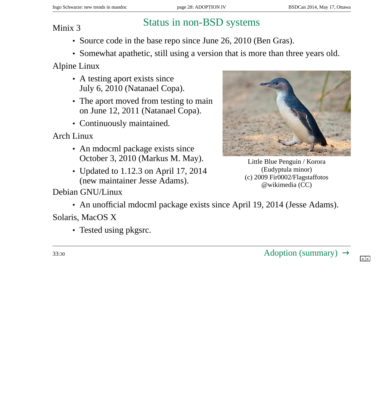# <span id="page-27-0"></span>Status in non-BSD systems Minix 3

- Source code in the base repo since June 26, 2010 (Ben Gras).
- Somewhat apathetic, still using a version that is more than three years old.

Alpine Linux

- A testing aport exists since July 6, 2010 (Natanael Copa).
- The aport moved from testing to main on June 12, 2011 (Natanael Copa).
- Continuously maintained.

Arch Linux

- An mdocml package exists since October 3, 2010 (Markus M. May).
- Updated to 1.12.3 on April 17, 2014 (new maintainer Jesse Adams).

![](_page_27_Picture_13.jpeg)

Little Blue Penguin / Korora (Eudyptula minor) (c) 2009 Fir0002/Flagstaffotos @wikimedia (CC)

Debian GNU/Linux

• An unofficial mdocml package exists since April 19, 2014 (Jesse Adams).

Solaris, MacOS X

• Tested using pkgsrc.

 $33:30$  Adoption (summar[y\)](#page-26-0)  $\rightarrow$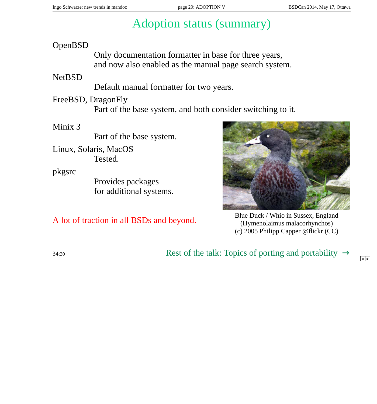# Adoption status (summary)

#### <span id="page-28-0"></span>OpenBSD

Only documentation formatter in base for three years, and now also enabled as the manual page search system.

#### **NetBSD**

Default manual formatter for two years.

FreeBSD, DragonFly

Part of the base system, and both consider switching to it.

#### Minix 3

Part of the base system.

Linux, Solaris, MacOS Tested.

pkgsrc

Provides packages for additional systems.

![](_page_28_Picture_16.jpeg)

A lot of traction in all BSDs and beyond.<br>
Blue Duck / Whio in Sussex, England<br>
(Hymenolaimus malacorhynchos) (Hymenolaimus malacorhynchos) (c) 2005 Philipp Capper @flickr (CC)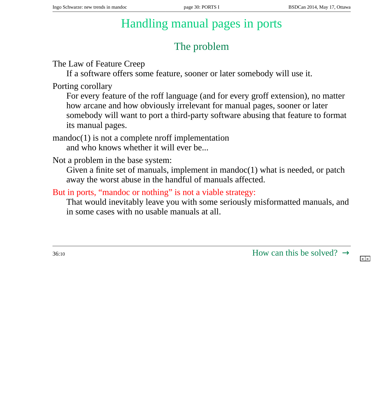## Handling manual pages in ports

### The problem

<span id="page-29-0"></span>The Law of Feature Creep

If a software offers some feature, sooner or later somebody will use it.

Porting corollary

For every feature of the roff language (and for every groff extension), no matter how arcane and how obviously irrelevant for manual pages, sooner or later somebody will want to port a third-party software abusing that feature to format its manual pages.

mandoc(1) is not a complete nroff implementation and who knows whether it will ever be...

Not a problem in the base system:

Given a finite set of manuals, implement in mandoc $(1)$  what is needed, or patch away the worst abuse in the handful of manuals affected.

#### But in ports, "mandoc or nothing" is not a viable strategy:

That would inevitably leave you with some seriously misformatted manuals, and in some cases with no usable manuals at all.

 $36:10$  How can this be solved[?](#page-28-0)  $\rightarrow$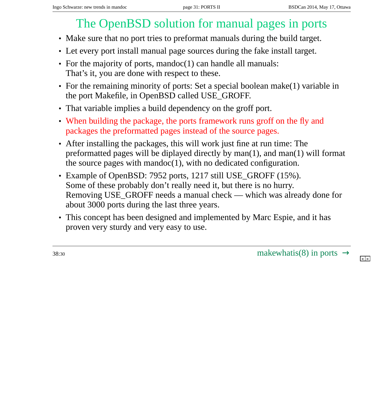# The OpenBSD solution for manual pages in ports

- <span id="page-30-0"></span>• Make sure that no port tries to preformat manuals during the build target.
- Let every port install manual page sources during the fake install target.
- For the majority of ports, mandoc(1) can handle all manuals: That's it, you are done with respect to these.
- For the remaining minority of ports: Set a special boolean make(1) variable in the port Makefile, in OpenBSD called USE\_GROFF.
- That variable implies a build dependency on the groff port.
- When building the package, the ports framework runs groff on the fly and packages the preformatted pages instead of the source pages.
- After installing the packages, this will work just fine at run time: The preformatted pages will be diplayed directly by man(1), and man(1) will format the source pages with mandoc(1), with no dedicated configuration.
- Example of OpenBSD: 7952 ports, 1217 still USE\_GROFF (15%). Some of these probably don't really need it, but there is no hurry. Removing USE\_GROFF needs a manual check — which was already done for about 3000 ports during the last three years.
- This concept has been designed and implemented by Marc Espie, and it has proven very sturdy and very easy to use.

 $38:30$  makewhatis(8) in por[ts](#page-29-0)  $\rightarrow$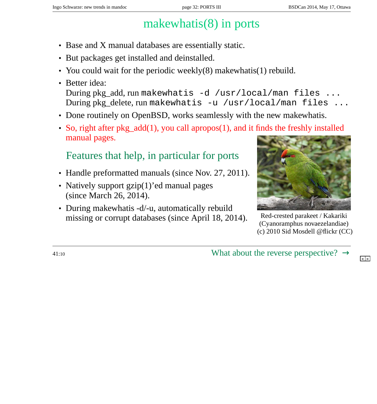# makewhatis(8) in ports

- <span id="page-31-0"></span>• Base and X manual databases are essentially static.
- But packages get installed and deinstalled.
- You could wait for the periodic weekly(8) makewhatis(1) rebuild.
- Better idea: During pkg\_add, run makewhatis -d /usr/local/man files ... During pkg\_delete, run makewhatis -u /usr/local/man files ...
- Done routinely on OpenBSD, works seamlessly with the new makewhatis.
- So, right after pkg\_add(1), you call apropos(1), and it finds the freshly installed manual pages.

#### Features that help, in particular for ports

- Handle preformatted manuals (since Nov. 27, 2011).
- Natively support gzip(1)'ed manual pages (since March 26, 2014).
- During makewhatis -d/-u, automatically rebuild missing or corrupt databases (since April 18, 2014). Red-crested parakeet / Kakariki

![](_page_31_Picture_14.jpeg)

(Cyanoramphus novaezelandiae) (c) 2010 Sid Mosdell @flickr (CC)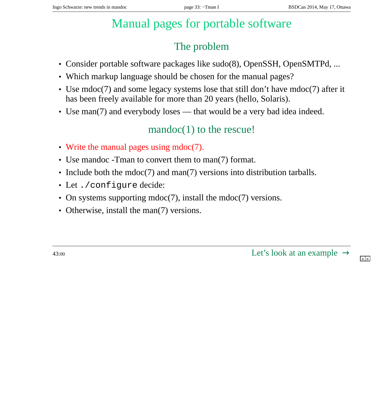# Manual pages for portable software

### The problem

- <span id="page-32-0"></span>• Consider portable software packages like sudo(8), OpenSSH, OpenSMTPd, ...
- Which markup language should be chosen for the manual pages?
- Use mdoc(7) and some legacy systems lose that still don't have mdoc(7) after it has been freely available for more than 20 years (hello, Solaris).
- Use man(7) and everybody loses that would be a very bad idea indeed.

#### mandoc(1) to the rescue!

- Write the manual pages using mdoc(7).
- Use mandoc -Tman to convert them to man(7) format.
- Include both the mdoc(7) and man(7) versions into distribution tarballs.
- Let ./configure decide:
- On systems supporting mdoc(7), install the mdoc(7) versions.
- Otherwise, install the man(7) versions.

 $43:00$  L[e](#page-31-0)t's look at an example  $\rightarrow$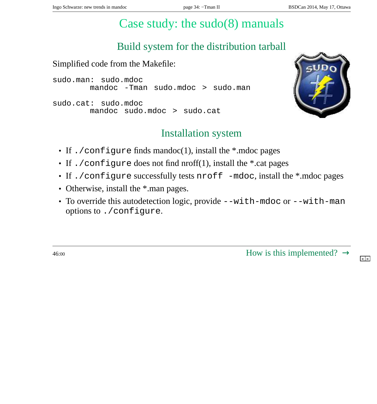# Case study: the sudo(8) manuals

### Build system for the distribution tarball

<span id="page-33-0"></span>Simplified code from the Makefile:

```
sudo.man: sudo.mdoc
       mandoc -Tman sudo.mdoc > sudo.man
sudo.cat: sudo.mdoc
       mandoc sudo.mdoc > sudo.cat
```
![](_page_33_Picture_7.jpeg)

#### Installation system

- If . / configure finds mandoc(1), install the \*.mdoc pages
- If ./configure does not find nroff(1), install the \*.cat pages
- If ./configure successfully tests nroff -mdoc, install the \*.mdoc pages
- Otherwise, install the  $*$  man pages.
- To override this autodetection logic, provide --with-mdoc or --with-man options to ./configure.

 $46:00$  How is this implemented[?](#page-32-0)  $\rightarrow$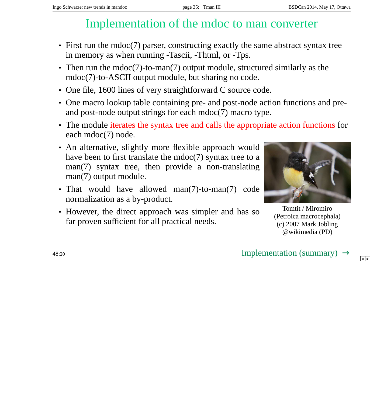## Implementation of the mdoc to man converter

- <span id="page-34-0"></span>• First run the mdoc(7) parser, constructing exactly the same abstract syntax tree in memory as when running -Tascii, -Thtml, or -Tps.
- Then run the mdoc(7)-to-man(7) output module, structured similarly as the mdoc(7)-to-ASCII output module, but sharing no code.
- One file, 1600 lines of very straightforward C source code.
- One macro lookup table containing pre- and post-node action functions and preand post-node output strings for each mdoc(7) macro type.
- The module iterates the syntax tree and calls the appropriate action functions for each mdoc(7) node.
- An alternative, slightly more flexible approach would have been to first translate the mdoc(7) syntax tree to a man(7) syntax tree, then provide a non-translating man(7) output module.
- That would have allowed man(7)-to-man(7) code normalization as a by-product.
- However, the direct approach was simpler and has so far proven sufficient for all practical needs.

![](_page_34_Picture_12.jpeg)

Tomtit / Miromiro (Petroica macrocephala) (c) 2007 Mark Jobling @wikimedia (PD)

 $48:20$  Implementation (summar[y\)](#page-33-0)  $\rightarrow$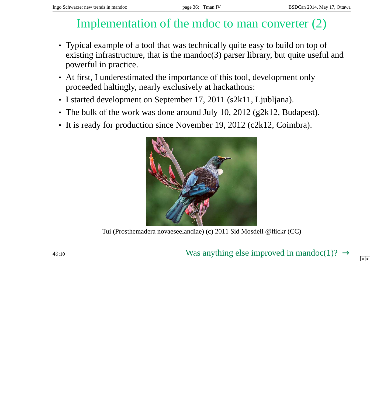## Implementation of the mdoc to man converter (2)

- <span id="page-35-0"></span>• Typical example of a tool that was technically quite easy to build on top of existing infrastructure, that is the mandoc(3) parser library, but quite useful and powerful in practice.
- At first, I underestimated the importance of this tool, development only proceeded haltingly, nearly exclusively at hackathons:
- I started development on September 17, 2011 (s2k11, Ljubljana).
- The bulk of the work was done around July 10, 2012 (g2k12, Budapest).
- It is ready for production since November 19, 2012 (c2k12, Coimbra).

![](_page_35_Picture_9.jpeg)

Tui (Prosthemadera novaeseelandiae) (c) 2011 Sid Mosdell @flickr (CC)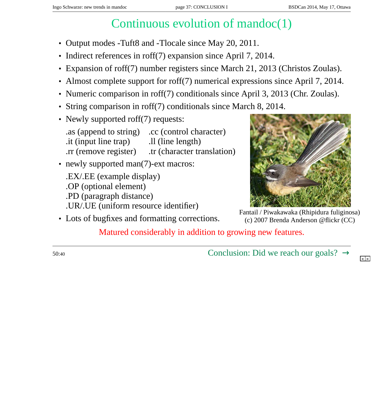# Continuous evolution of mandoc(1)

- <span id="page-36-0"></span>• Output modes -Tuft8 and -Tlocale since May 20, 2011.
- Indirect references in roff(7) expansion since April 7, 2014.
- Expansion of roff(7) number registers since March 21, 2013 (Christos Zoulas).
- Almost complete support for roff(7) numerical expressions since April 7, 2014.
- Numeric comparison in roff(7) conditionals since April 3, 2013 (Chr. Zoulas).
- String comparison in roff(7) conditionals since March 8, 2014.
- Newly supported roff(7) requests:

.as (append to string) .cc (control character)  $\dot{h}$  it (input line trap)  $\dot{h}$  .ll (line length) .rr (remove register) .tr (character translation)

• newly supported man(7)-ext macros: .EX/.EE (example display) .OP (optional element) .PD (paragraph distance) .UR/.UE (uniform resource identifier)

• Lots of bugfixes and formatting corrections.

![](_page_36_Picture_13.jpeg)

Fantail / Piwakawaka (Rhipidura fuliginosa) (c) 2007 Brenda Anderson @flickr (CC)

Matured considerably in addition to growing new features.

 $50:40$  Conclusion: Did we reach our goals[?](#page-35-0)  $\rightarrow$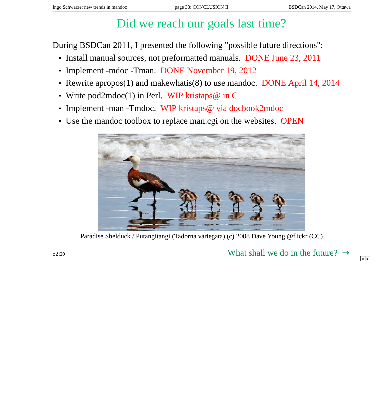# Did we reach our goals last time?

<span id="page-37-0"></span>During BSDCan 2011, I presented the following "possible future directions":

- Install manual sources, not preformatted manuals. DONE June 23, 2011
- Implement -mdoc -Tman. DONE November 19, 2012
- Rewrite apropos(1) and makewhatis(8) to use mandoc. DONE April 14, 2014
- Write pod2mdoc(1) in Perl. WIP kristaps@ in C
- Implement -man -Tmdoc. WIP kristaps@ via docbook2mdoc
- Use the mandoc toolbox to replace man.cgi on the websites. OPEN

![](_page_37_Picture_11.jpeg)

Paradise Shelduck / Putangitangi (Tadorna variegata) (c) 2008 Dave Young @flickr (CC)

 $52:20$  What shall we do in the future[?](#page-36-0)  $\rightarrow$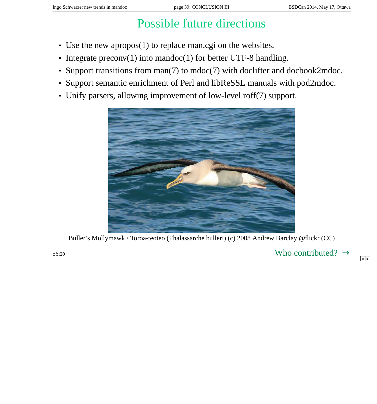# Possible future directions

- <span id="page-38-0"></span>• Use the new apropos(1) to replace man.cgi on the websites.
- Integrate preconv(1) into mandoc(1) for better UTF-8 handling.
- Support transitions from man(7) to mdoc(7) with doclifter and docbook2mdoc.
- Support semantic enrichment of Perl and libReSSL manuals with pod2mdoc.
- Unify parsers, allowing improvement of low-level roff(7) support.

![](_page_38_Picture_9.jpeg)

Buller's Mollymawk / Toroa-teoteo (Thalassarche bulleri) (c) 2008 Andrew Barclay @flickr (CC)

 $56:20$  Who contributed[?](#page-37-0)  $\rightarrow$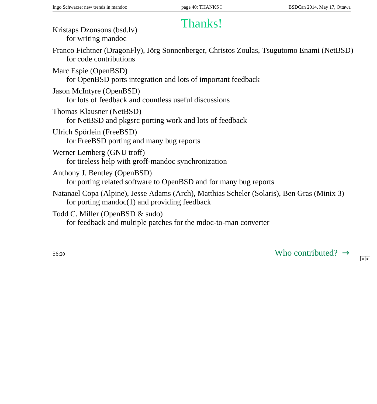## <span id="page-39-0"></span>Thanks! Kristaps Dzonsons (bsd.lv)

| Kristaps Dzonsons (bsd.lv)<br>for writing mandoc                                                                                              |
|-----------------------------------------------------------------------------------------------------------------------------------------------|
| Franco Fichtner (DragonFly), Jörg Sonnenberger, Christos Zoulas, Tsugutomo Enami (NetBSD)<br>for code contributions                           |
| Marc Espie (OpenBSD)<br>for OpenBSD ports integration and lots of important feedback                                                          |
| Jason McIntyre (OpenBSD)<br>for lots of feedback and countless useful discussions                                                             |
| Thomas Klausner (NetBSD)<br>for NetBSD and pkgsrc porting work and lots of feedback                                                           |
| Ulrich Spörlein (FreeBSD)<br>for FreeBSD porting and many bug reports                                                                         |
| Werner Lemberg (GNU troff)<br>for tireless help with groff-mandoc synchronization                                                             |
| Anthony J. Bentley (OpenBSD)<br>for porting related software to OpenBSD and for many bug reports                                              |
| Natanael Copa (Alpine), Jesse Adams (Arch), Matthias Scheler (Solaris), Ben Gras (Minix 3)<br>for porting mandoc $(1)$ and providing feedback |
| Todd C. Miller (OpenBSD & sudo)<br>for feedback and multiple patches for the mdoc-to-man converter                                            |
|                                                                                                                                               |

 $56:20$  Who contributed[?](#page-38-0)  $\rightarrow$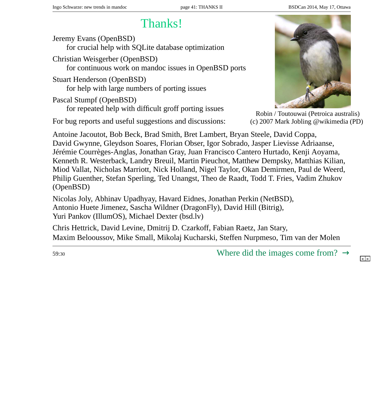# Thanks!

<span id="page-40-0"></span>Jeremy Evans (OpenBSD) for crucial help with SQLite database optimization

Christian Weisgerber (OpenBSD) for continuous work on mandoc issues in OpenBSD ports

Stuart Henderson (OpenBSD) for help with large numbers of porting issues

Pascal Stumpf (OpenBSD) for repeated help with difficult groff porting issues

For bug reports and useful suggestions and discussions:

![](_page_40_Picture_9.jpeg)

Robin / Toutouwai (Petroica australis) (c) 2007 Mark Jobling @wikimedia (PD)

Antoine Jacoutot, Bob Beck, Brad Smith, Bret Lambert, Bryan Steele, David Coppa, David Gwynne, Gleydson Soares, Florian Obser, Igor Sobrado, Jasper Lievisse Adriaanse, Jérémie Courrèges-Anglas, Jonathan Gray, Juan Francisco Cantero Hurtado, Kenji Aoyama, Kenneth R. Westerback, Landry Breuil, Martin Pieuchot, Matthew Dempsky, Matthias Kilian, Miod Vallat, Nicholas Marriott, Nick Holland, Nigel Taylor, Okan Demirmen, Paul de Weerd, Philip Guenther, Stefan Sperling, Ted Unangst, Theo de Raadt, Todd T. Fries, Vadim Zhukov (OpenBSD)

Nicolas Joly, Abhinav Upadhyay, Havard Eidnes, Jonathan Perkin (NetBSD), Antonio Huete Jimenez, Sascha Wildner (DragonFly), David Hill (Bitrig), Yuri Pankov (IllumOS), Michael Dexter (bsd.lv)

Chris Hettrick, David Levine, Dmitrij D. Czarkoff, Fabian Raetz, Jan Stary, Maxim Belooussov, Mike Small, Mikolaj Kucharski, Steffen Nurpmeso, Tim van der Molen

 $59:30$  Where did the images come from[?](#page-39-0)  $\rightarrow$